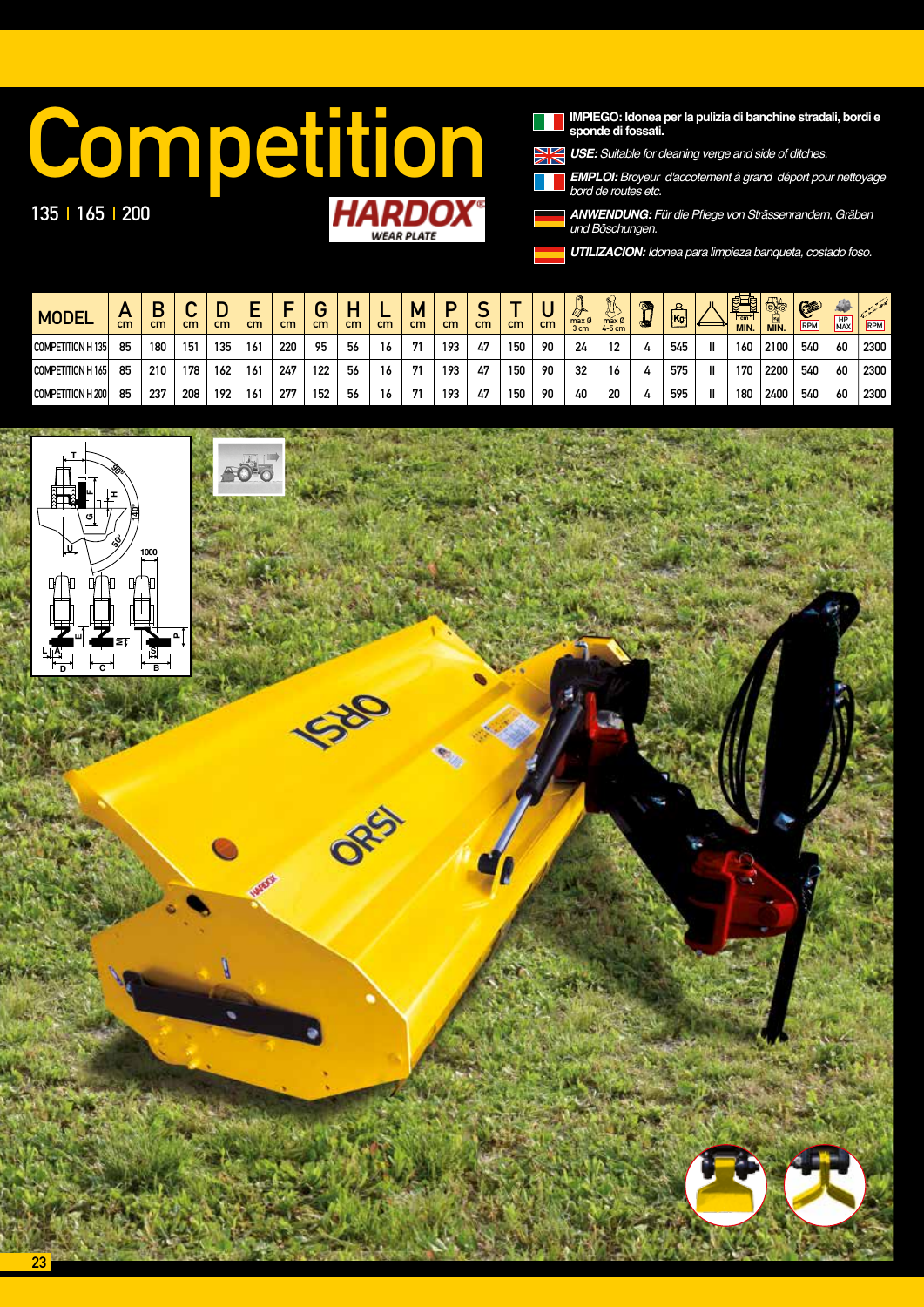## **IMPIEGO: Idonea per la pulizia di banchine stradali, bordi e**<br>**IMPIEGO: Idonea per la pulizia di banchine stradali, bordi e**<br>**IMPIEGO: Broyeur d'accotement à grand déport pour nettoyage**<br>bord de routes etc.

135 | 165 | 200

IMPIEGO: Idonea per la pulizia di banchine stradali, bordi e<br>sponde di fossati.

*USE: Suitable for cleaning verge and side of ditches.*

*EMPLOI:* Broyeur d'accotement à grand déport pour nettoyage *bord de routes etc.*

*ANWENDUNG:* Für die Pflege von Strässenrandern, Gräben *und* Böschungen.

*UTILIZACION:* Idonea para limpieza banqueta, costado foso.

| <b>MODEL</b>       | <i>r</i><br>cm | n<br>cm | - 1<br>$\overline{\phantom{a}}$<br>cm | r<br>cm | cm              | cm  | $\sim$<br>cm | cm | cm | М<br>cm | cm  | cm | cm  | cm | max Ø<br>3 cm | N<br>$max$ $\emptyset$<br>$4-5$ cm | Ø. | 요<br>$\overline{\text{kg}}$ |   | 雷<br>$H_{cm}$<br><b>MIN.</b> | $\bigoplus$<br>Ò<br>MIN. | G<br>RPM | <b>AND</b><br>HP<br>MAX | $\mathcal{L}=\mathcal{L}$<br>RPM |
|--------------------|----------------|---------|---------------------------------------|---------|-----------------|-----|--------------|----|----|---------|-----|----|-----|----|---------------|------------------------------------|----|-----------------------------|---|------------------------------|--------------------------|----------|-------------------------|----------------------------------|
| COMPETITION H 135  | 85             | 180     | 151                                   | 135     | 16 <sup>1</sup> | 220 | 95           | 56 | 16 | 71      | 193 | 47 | 150 | 90 | 24            | 12                                 |    | 545                         | Ш | 160                          | 2100                     | 540      | 60                      | 2300                             |
| COMPETITION H 165  | 85             | 210     | 178                                   | 162     | 16 <sup>1</sup> | 247 | 122          | 56 | 16 | 71      | 193 | 47 | 150 | 90 | 32            | 16                                 |    | 575                         | Ш | 170                          | 2200                     | 540      | 60                      | 2300                             |
| COMPETITION H 2001 | 85             | 237     | 208                                   | 192     | 161             | 277 | 152          | 56 | 16 | 71      | 193 | 47 | 150 | 90 | 40            | 20                                 |    | 595                         | Ш | 180                          | 2400                     | 540      | 60                      | 2300                             |